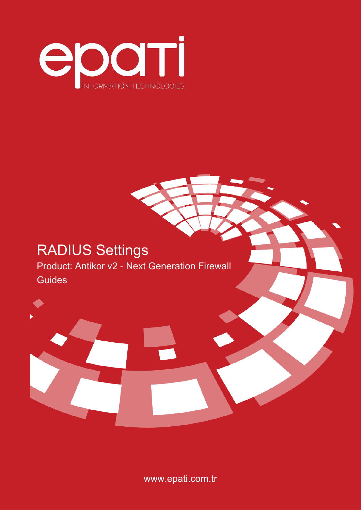

# RADIUS Settings Product: Antikor v2 - Next Generation Firewall Guides



www.epati.com.tr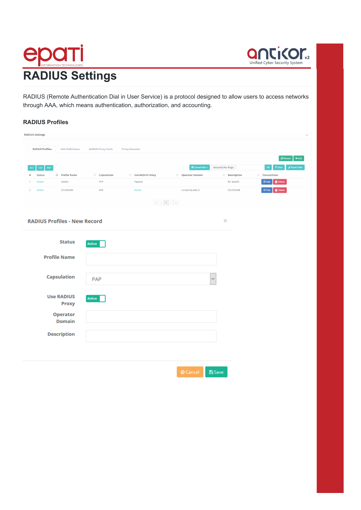



RADIUS (Remote Authentication Dial in User Service) is a protocol designed to allow users to access networks through AAA, which means authentication, authorization, and accounting.

### **RADIUS Profiles**

| <b>RADIUS Settings</b>                           |                           |                      |                                 |                  |                                                                                |
|--------------------------------------------------|---------------------------|----------------------|---------------------------------|------------------|--------------------------------------------------------------------------------|
|                                                  |                           |                      |                                 |                  | À                                                                              |
| <b>RADIUS Profiles</b><br><b>NAS Definitions</b> | <b>RADIUS Proxy Pools</b> |                      |                                 |                  |                                                                                |
|                                                  |                           | <b>Proxy Domains</b> |                                 |                  |                                                                                |
|                                                  |                           |                      |                                 |                  | CReload + Add                                                                  |
| PDF<br>CSV<br><b>XLS</b>                         |                           |                      | <b>⊞</b> Show/Hide <del>v</del> | Records Per Page | $\mathsf{OK}_{\mathbb{C}}$<br>$T$ Filter<br>$\blacktriangleright$ Reset Filter |
| ↓ Profile Name<br>Status<br>$\theta$             | I Capsulation             | I Use RADIUS Proxy   | I Operator Domain               | I Description    | $\ \cdot\ $ Transactions                                                       |
| Switch<br>Active<br>1                            | PAP                       | Passive              |                                 | for Switch       | $\overline{\mathscr{C}}$ Edit<br><b>T</b> Delete                               |
| Active<br>EDUROAM<br>$\overline{2}$              | PAP                       | Active               | university.edu.tr               | EDUROAM          | $\mathbb{Z}$ Edit<br><b>O</b> Delete                                           |
|                                                  |                           |                      |                                 |                  |                                                                                |
|                                                  |                           |                      |                                 |                  |                                                                                |
|                                                  |                           |                      |                                 |                  |                                                                                |
| <b>RADIUS Profiles - New Record</b>              |                           |                      |                                 | $\times$         |                                                                                |
|                                                  |                           |                      |                                 |                  |                                                                                |
|                                                  |                           |                      |                                 |                  |                                                                                |
| <b>Status</b>                                    | Active                    |                      |                                 |                  |                                                                                |
|                                                  |                           |                      |                                 |                  |                                                                                |
| <b>Profile Name</b>                              |                           |                      |                                 |                  |                                                                                |
|                                                  |                           |                      |                                 |                  |                                                                                |
| <b>Capsulation</b>                               |                           |                      |                                 |                  |                                                                                |
|                                                  | PAP                       |                      |                                 | $\checkmark$     |                                                                                |
|                                                  |                           |                      |                                 |                  |                                                                                |
| <b>Use RADIUS</b>                                | Active                    |                      |                                 |                  |                                                                                |
| <b>Proxy</b>                                     |                           |                      |                                 |                  |                                                                                |
| <b>Operator</b>                                  |                           |                      |                                 |                  |                                                                                |
| <b>Domain</b>                                    |                           |                      |                                 |                  |                                                                                |
|                                                  |                           |                      |                                 |                  |                                                                                |
| <b>Description</b>                               |                           |                      |                                 |                  |                                                                                |
|                                                  |                           |                      |                                 |                  |                                                                                |
|                                                  |                           |                      |                                 |                  |                                                                                |
|                                                  |                           |                      |                                 |                  |                                                                                |
|                                                  |                           |                      |                                 |                  |                                                                                |
|                                                  |                           |                      | <b>O</b> Cancel                 | <b>图Save</b>     |                                                                                |
|                                                  |                           |                      |                                 | ×,               |                                                                                |
|                                                  |                           |                      |                                 |                  |                                                                                |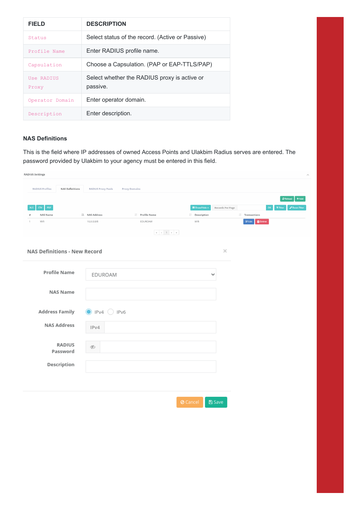| <b>FIELD</b>        | <b>DESCRIPTION</b>                                       |
|---------------------|----------------------------------------------------------|
| Status              | Select status of the record. (Active or Passive)         |
| Profile Name        | Enter RADIUS profile name.                               |
| Capsulation         | Choose a Capsulation. (PAP or EAP-TTLS/PAP)              |
| Use RADIUS<br>Proxy | Select whether the RADIUS proxy is active or<br>passive. |
| Operator Domain     | Enter operator domain.                                   |
| Description         | Enter description.                                       |

## **NAS Definitions**

This is the field where IP addresses of owned Access Points and Ulakbim Radius serves are entered. The password provided by Ulakbim to your agency must be entered in this field.

| <b>RADIUS Settings</b>                           |                                                   |              |                                 |                  |                                     | $\overline{\mathcal{E}}$                                                                                                                                                                                                                                                                                                           |
|--------------------------------------------------|---------------------------------------------------|--------------|---------------------------------|------------------|-------------------------------------|------------------------------------------------------------------------------------------------------------------------------------------------------------------------------------------------------------------------------------------------------------------------------------------------------------------------------------|
| <b>RADIUS Profiles</b><br><b>NAS Definitions</b> | <b>RADIUS Proxy Pools</b><br><b>Proxy Domains</b> |              |                                 |                  |                                     |                                                                                                                                                                                                                                                                                                                                    |
| CSV<br>PDF<br><b>XLS</b>                         |                                                   |              | <b>⊞</b> Show/Hide <del>v</del> | Records Per Page |                                     | $+$ Add<br>$\mathbf C$ Reload<br>$\mathsf{OK}% _{\mathsf{CL}}\times\mathsf{CK}_{\mathsf{CL}}^{\mathsf{CL}}(\mathsf{CL}_{\mathsf{CL}}^{\mathsf{CL}}(\mathsf{CL}_{\mathsf{CL}}^{\mathsf{CL}}),\mathsf{CL}_{\mathsf{CL}}^{\mathsf{CL}}(\mathsf{CL}_{\mathsf{CL}}^{\mathsf{CL}}),$<br>$T$ Filter<br>$\blacktriangleright$ Reset Filter |
| NAS Name<br>#                                    | ↓ NAS Address                                     | Frofile Name | I Description                   |                  | $\ \cdot\ $ Transactions            |                                                                                                                                                                                                                                                                                                                                    |
| Wifi<br>$\mathbf{1}$                             | 10.0.0.0/8                                        | EDUROAM      | Wifi                            |                  | $\mathbb Z$ Edit<br><b>O</b> Delete |                                                                                                                                                                                                                                                                                                                                    |
|                                                  |                                                   |              |                                 |                  |                                     |                                                                                                                                                                                                                                                                                                                                    |
|                                                  |                                                   |              |                                 |                  |                                     |                                                                                                                                                                                                                                                                                                                                    |
| <b>NAS Definitions - New Record</b>              |                                                   |              |                                 | $\times$         |                                     |                                                                                                                                                                                                                                                                                                                                    |
|                                                  |                                                   |              |                                 |                  |                                     |                                                                                                                                                                                                                                                                                                                                    |
| <b>Profile Name</b>                              |                                                   |              |                                 |                  |                                     |                                                                                                                                                                                                                                                                                                                                    |
|                                                  | EDUROAM                                           |              |                                 | ٧                |                                     |                                                                                                                                                                                                                                                                                                                                    |
|                                                  |                                                   |              |                                 |                  |                                     |                                                                                                                                                                                                                                                                                                                                    |
| <b>NAS Name</b>                                  |                                                   |              |                                 |                  |                                     |                                                                                                                                                                                                                                                                                                                                    |
|                                                  |                                                   |              |                                 |                  |                                     |                                                                                                                                                                                                                                                                                                                                    |
| <b>Address Family</b>                            | $\odot$ IPv4 $\odot$<br>IPv6                      |              |                                 |                  |                                     |                                                                                                                                                                                                                                                                                                                                    |
|                                                  |                                                   |              |                                 |                  |                                     |                                                                                                                                                                                                                                                                                                                                    |
| <b>NAS Address</b>                               | IPv4                                              |              |                                 |                  |                                     |                                                                                                                                                                                                                                                                                                                                    |
|                                                  |                                                   |              |                                 |                  |                                     |                                                                                                                                                                                                                                                                                                                                    |
|                                                  |                                                   |              |                                 |                  |                                     |                                                                                                                                                                                                                                                                                                                                    |
| <b>RADIUS</b><br>Password                        | D                                                 |              |                                 |                  |                                     |                                                                                                                                                                                                                                                                                                                                    |
|                                                  |                                                   |              |                                 |                  |                                     |                                                                                                                                                                                                                                                                                                                                    |
| Description                                      |                                                   |              |                                 |                  |                                     |                                                                                                                                                                                                                                                                                                                                    |
|                                                  |                                                   |              |                                 |                  |                                     |                                                                                                                                                                                                                                                                                                                                    |
|                                                  |                                                   |              |                                 |                  |                                     |                                                                                                                                                                                                                                                                                                                                    |
|                                                  |                                                   |              |                                 |                  |                                     |                                                                                                                                                                                                                                                                                                                                    |
|                                                  |                                                   |              |                                 |                  |                                     |                                                                                                                                                                                                                                                                                                                                    |
|                                                  |                                                   |              | <b>Ø</b> Cancel                 | 图 Save           |                                     |                                                                                                                                                                                                                                                                                                                                    |
|                                                  |                                                   |              |                                 |                  |                                     |                                                                                                                                                                                                                                                                                                                                    |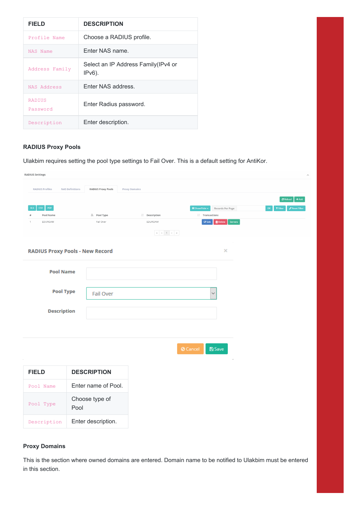| <b>FIELD</b>              | <b>DESCRIPTION</b>                                |
|---------------------------|---------------------------------------------------|
| Profile Name              | Choose a RADIUS profile.                          |
| NAS Name                  | Enter NAS name.                                   |
| Address Family            | Select an IP Address Family (IPv4 or<br>$IPv6$ ). |
| NAS Address               | Enter NAS address.                                |
| <b>RADIUS</b><br>Password | Enter Radius password.                            |
| Description               | Enter description.                                |

## **RADIUS Proxy Pools**

Ulakbim requires setting the pool type settings to Fail Over. This is a default setting for AntiKor.

| <b>RADIUS Settings</b>                                                 |                        |                           |                      |               |                 |                                                     |         |    |                     |                                    |
|------------------------------------------------------------------------|------------------------|---------------------------|----------------------|---------------|-----------------|-----------------------------------------------------|---------|----|---------------------|------------------------------------|
| <b>RADIUS Profiles</b>                                                 | <b>NAS Definitions</b> | <b>RADIUS Proxy Pools</b> | <b>Proxy Domains</b> |               |                 |                                                     |         |    |                     |                                    |
|                                                                        |                        |                           |                      |               |                 |                                                     |         |    | $\mathcal C$ Reload | $+Add$                             |
| $\mathsf{CSV}^{\scriptscriptstyle\wedge}$<br>${\sf PDF}$<br><b>XLS</b> |                        |                           |                      |               |                 | <b>⊞</b> Show/Hide <del>+</del><br>Records Per Page |         | OK | T Filter            | $\blacktriangleright$ Reset Filter |
| Pool Name                                                              |                        | Li Pool Type              |                      | I Description |                 | I Transactions                                      |         |    |                     |                                    |
| EDUROAM                                                                |                        | Fail Over                 |                      | EDUROAM       |                 | $\mathbb{Z}$ Edit<br><b>Delete</b>                  | Servers |    |                     |                                    |
|                                                                        |                        |                           |                      |               |                 |                                                     |         |    |                     |                                    |
|                                                                        |                        |                           |                      |               |                 |                                                     |         |    |                     |                                    |
| <b>RADIUS Proxy Pools - New Record</b>                                 |                        |                           |                      |               |                 |                                                     | ×       |    |                     |                                    |
|                                                                        |                        |                           |                      |               |                 |                                                     |         |    |                     |                                    |
| <b>Pool Name</b>                                                       |                        |                           |                      |               |                 |                                                     |         |    |                     |                                    |
|                                                                        |                        |                           |                      |               |                 |                                                     |         |    |                     |                                    |
| <b>Pool Type</b>                                                       |                        | Fail Over                 |                      |               |                 | $\checkmark$                                        |         |    |                     |                                    |
|                                                                        |                        |                           |                      |               |                 |                                                     |         |    |                     |                                    |
| <b>Description</b>                                                     |                        |                           |                      |               |                 |                                                     |         |    |                     |                                    |
|                                                                        |                        |                           |                      |               |                 |                                                     |         |    |                     |                                    |
|                                                                        |                        |                           |                      |               |                 |                                                     |         |    |                     |                                    |
|                                                                        |                        |                           |                      |               |                 |                                                     |         |    |                     |                                    |
|                                                                        |                        |                           |                      |               | <b>Ø</b> Cancel | <b>图Save</b>                                        |         |    |                     |                                    |
|                                                                        |                        |                           |                      |               |                 |                                                     | J.      |    |                     |                                    |
| <b>FIELD</b>                                                           |                        | <b>DESCRIPTION</b>        |                      |               |                 |                                                     |         |    |                     |                                    |
| Pool Name                                                              |                        | Enter name of Pool.       |                      |               |                 |                                                     |         |    |                     |                                    |
| Pool Type                                                              | Pool                   | Choose type of            |                      |               |                 |                                                     |         |    |                     |                                    |
| Description                                                            |                        | Enter description.        |                      |               |                 |                                                     |         |    |                     |                                    |

### **Proxy Domains**

This is the section where owned domains are entered. Domain name to be notified to Ulakbim must be entered in this section.